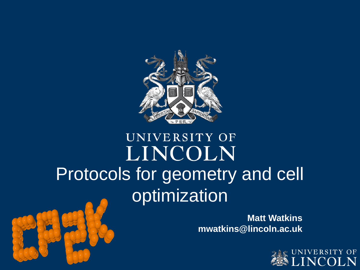

#### UNIVERSITY OF LINCOLN Protocols for geometry and cell optimization

**Matt Watkins mwatkins@lincoln.ac.uk**



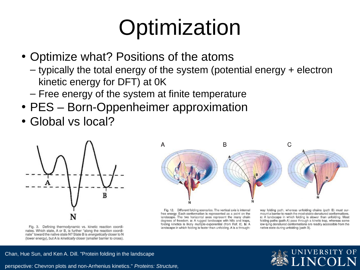#### **Optimization**

- Optimize what? Positions of the atoms
	- typically the total energy of the system (potential energy + electron kinetic energy for DFT) at 0K
	- Free energy of the system at finite temperature
- PES Born-Oppenheimer approximation
- Global vs local?



Fig. 3. Defining thermodynamic vs. kinetic reaction coordinates. Which state, A or B, is further "along the reaction coordinate" toward the native state N? State B is energetically closer to N (lower energy), but A is kinetically closer (smaller barrier to cross).



Fig. 12. Different folding scenarios. The vertical axis is internal free energy. Each conformation is represented as a point on the landscape. The two horizontal axes represent the many chain degrees of freedom. a: A rugged landscape with hills and traps, folding kinetics is likely multiple-exponential (from Ref. 8). b: A landscape in which folding is faster than unfolding. A is a throughway folding path, whereas unfolding chains (path B) must surmount a barrier to reach the most stable denatured conformations. c: A landscape in which folding is slower than unfolding. Most folding paths (path A) pass through a kinetic trap, whereas some low-lying denatured conformations are readily accessible from the native state during unfolding (path B).

#### Chan, Hue Sun, and Ken A. Dill. "Protein folding in the landscape

perspective: Chevron plots and non‐Arrhenius kinetics." *Proteins: Structure,* 

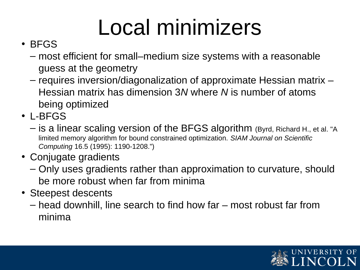#### Local minimizers

#### • BFGS

- most efficient for small–medium size systems with a reasonable guess at the geometry
- requires inversion/diagonalization of approximate Hessian matrix Hessian matrix has dimension 3*N* where *N* is number of atoms being optimized
- L-BFGS
	- is a linear scaling version of the BFGS algorithm (Byrd, Richard H., et al. "A limited memory algorithm for bound constrained optimization. *SIAM Journal on Scientific Computing* 16.5 (1995): 1190-1208.")
- Conjugate gradients
	- Only uses gradients rather than approximation to curvature, should be more robust when far from minima
- Steepest descents
	- head downhill, line search to find how far most robust far from minima

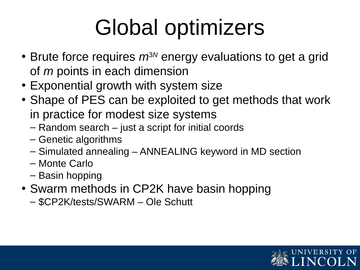### Global optimizers

- Brute force requires  $m^{3}$ <sup>N</sup> energy evaluations to get a grid of *m* points in each dimension
- Exponential growth with system size
- Shape of PES can be exploited to get methods that work in practice for modest size systems
	- Random search just a script for initial coords
	- Genetic algorithms
	- Simulated annealing ANNEALING keyword in MD section
	- Monte Carlo
	- Basin hopping
- Swarm methods in CP2K have basin hopping
	- \$CP2K/tests/SWARM Ole Schutt

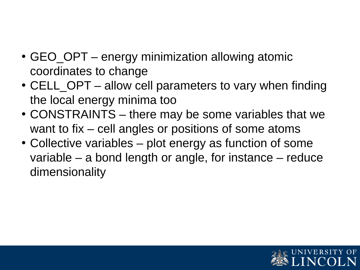- GEO OPT energy minimization allowing atomic coordinates to change
- CELL OPT allow cell parameters to vary when finding the local energy minima too
- CONSTRAINTS there may be some variables that we want to fix – cell angles or positions of some atoms
- Collective variables plot energy as function of some variable – a bond length or angle, for instance – reduce dimensionality

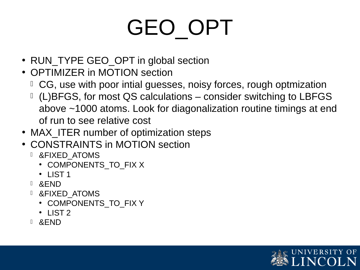# GEO\_OPT

- RUN\_TYPE GEO\_OPT in global section
- OPTIMIZER in MOTION section
	- CG, use with poor intial guesses, noisy forces, rough optmization
	- (L)BFGS, for most QS calculations consider switching to LBFGS above ~1000 atoms. Look for diagonalization routine timings at end of run to see relative cost
- MAX ITER number of optimization steps
- CONSTRAINTS in MOTION section
	- **I** & FIXED ATOMS
		- COMPONENTS\_TO\_FIX X
		- $\cdot$  LIST 1
	- &END
	- &FIXED\_ATOMS
		- COMPONENTS TO FIX Y
		- $\cdot$  LIST 2
	- &END

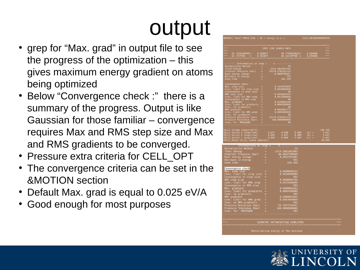#### output

- grep for "Max. grad" in output file to see the progress of the optimization – this gives maximum energy gradient on atoms being optimized
- Below "Convergence check :" there is a summary of the progress. Output is like Gaussian for those familiar – convergence requires Max and RMS step size and Max and RMS gradients to be converged.
- Pressure extra criteria for CELL OPT
- The convergence criteria can be set in the &MOTION section
- Default Max. grad is equal to 0.025 eV/A
- Good enough for most purposes

| ENERGY  Total FORCE_EVAL ( QS ) energy (a.u.):       -2314.583506508490700                                                                                                                                                                                                                                     |                       |            |  |  |
|----------------------------------------------------------------------------------------------------------------------------------------------------------------------------------------------------------------------------------------------------------------------------------------------------------------|-----------------------|------------|--|--|
|                                                                                                                                                                                                                                                                                                                | 2PNT LINE SEARCH INFO |            |  |  |
| ***                                                                                                                                                                                                                                                                                                            |                       |            |  |  |
|                                                                                                                                                                                                                                                                                                                |                       |            |  |  |
|                                                                                                                                                                                                                                                                                                                |                       |            |  |  |
|                                                                                                                                                                                                                                                                                                                |                       |            |  |  |
|                                                                                                                                                                                                                                                                                                                |                       |            |  |  |
|                                                                                                                                                                                                                                                                                                                |                       |            |  |  |
|                                                                                                                                                                                                                                                                                                                |                       |            |  |  |
|                                                                                                                                                                                                                                                                                                                |                       |            |  |  |
|                                                                                                                                                                                                                                                                                                                |                       |            |  |  |
| --------- Informations at step = 4 -----------<br>Optimization Method = 72314.5828781392<br>Internal Pressure [bar] = 2314.5828781392<br>Internal Pressure [bar] = 35379.3762511153<br>Real energy change = -0.0099708467<br>Decrease in                                                                       |                       |            |  |  |
|                                                                                                                                                                                                                                                                                                                |                       |            |  |  |
|                                                                                                                                                                                                                                                                                                                |                       |            |  |  |
|                                                                                                                                                                                                                                                                                                                |                       |            |  |  |
|                                                                                                                                                                                                                                                                                                                |                       |            |  |  |
|                                                                                                                                                                                                                                                                                                                |                       |            |  |  |
|                                                                                                                                                                                                                                                                                                                |                       |            |  |  |
|                                                                                                                                                                                                                                                                                                                |                       |            |  |  |
|                                                                                                                                                                                                                                                                                                                |                       |            |  |  |
|                                                                                                                                                                                                                                                                                                                |                       |            |  |  |
|                                                                                                                                                                                                                                                                                                                |                       |            |  |  |
|                                                                                                                                                                                                                                                                                                                |                       |            |  |  |
|                                                                                                                                                                                                                                                                                                                |                       |            |  |  |
|                                                                                                                                                                                                                                                                                                                |                       |            |  |  |
|                                                                                                                                                                                                                                                                                                                |                       |            |  |  |
|                                                                                                                                                                                                                                                                                                                |                       |            |  |  |
| Convergence check :<br>Convergence check :<br>Max. step size = 0.0443379699<br>Convergence in step size = 0.0456435465<br>RMS step size = 0.0456435465<br>Convergence in RMS step = 0.0615800000<br>Convergence in RMS step = 0.0615800000                                                                     |                       |            |  |  |
|                                                                                                                                                                                                                                                                                                                |                       |            |  |  |
|                                                                                                                                                                                                                                                                                                                |                       |            |  |  |
|                                                                                                                                                                                                                                                                                                                |                       |            |  |  |
|                                                                                                                                                                                                                                                                                                                |                       |            |  |  |
|                                                                                                                                                                                                                                                                                                                |                       |            |  |  |
|                                                                                                                                                                                                                                                                                                                |                       |            |  |  |
| $\frac{1}{2}$ Informations at step = $\frac{1}{2}$ 5<br>--------- Informations at scep-<br>Optimization Method<br>Total Energy<br>Total Energy<br>Theranal Pressure [bar] = 44.8922786589<br>Real energy change = -0.0032786589<br>Decrease in energy<br>= -0.0032281601<br>USED<br>USED<br>USED<br>USED<br>US |                       |            |  |  |
|                                                                                                                                                                                                                                                                                                                |                       |            |  |  |
|                                                                                                                                                                                                                                                                                                                |                       |            |  |  |
|                                                                                                                                                                                                                                                                                                                |                       |            |  |  |
|                                                                                                                                                                                                                                                                                                                |                       |            |  |  |
|                                                                                                                                                                                                                                                                                                                |                       |            |  |  |
|                                                                                                                                                                                                                                                                                                                |                       |            |  |  |
| Convergence check :                                                                                                                                                                                                                                                                                            |                       |            |  |  |
|                                                                                                                                                                                                                                                                                                                |                       |            |  |  |
|                                                                                                                                                                                                                                                                                                                |                       |            |  |  |
|                                                                                                                                                                                                                                                                                                                |                       |            |  |  |
|                                                                                                                                                                                                                                                                                                                |                       |            |  |  |
|                                                                                                                                                                                                                                                                                                                |                       |            |  |  |
|                                                                                                                                                                                                                                                                                                                |                       |            |  |  |
|                                                                                                                                                                                                                                                                                                                |                       |            |  |  |
|                                                                                                                                                                                                                                                                                                                |                       |            |  |  |
| Conv. limit for gradients =<br>Conv. in gradients $\frac{1}{\sqrt{2}}$ =                                                                                                                                                                                                                                       |                       |            |  |  |
|                                                                                                                                                                                                                                                                                                                |                       | <b>YES</b> |  |  |

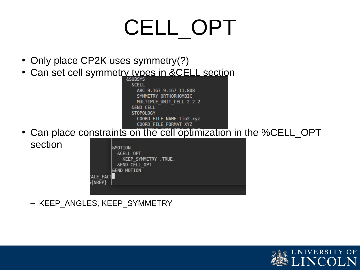#### CELL\_OPT

- Only place CP2K uses symmetry(?)
- Can set cell symmetry types in &CELL section

**&CELL** ABC 9.167 9.167 11.808 SYMMETRY ORTHORHOMBIC MULTIPLE UNIT CELL 2 2 2 **&END CELL** &TOPOLOGY COORD FILE NAME tio2.xyz COORD FILE FORMAT XYZ

• Can place constraints on the cell optimization in the %CELL\_OPT section

| ALE FACT<br>(NREP} | <b>SMOTION</b><br>&CELL OPT<br>KEEP SYMMETRY . TRUE.<br><b>&amp;END CELL OPT</b><br><b>&amp;END MOTION</b> |  |
|--------------------|------------------------------------------------------------------------------------------------------------|--|
|                    |                                                                                                            |  |

– KEEP\_ANGLES, KEEP\_SYMMETRY

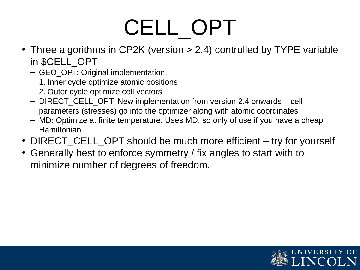### CELL\_OPT

- Three algorithms in CP2K (version > 2.4) controlled by TYPE variable in \$CELL\_OPT
	- GEO\_OPT: Original implementation.
		- 1. Inner cycle optimize atomic positions
		- 2. Outer cycle optimize cell vectors
	- DIRECT\_CELL\_OPT: New implementation from version 2.4 onwards cell parameters (stresses) go into the optimizer along with atomic coordinates
	- MD: Optimize at finite temperature. Uses MD, so only of use if you have a cheap Hamiltonian
- DIRECT\_CELL\_OPT should be much more efficient try for yourself
- Generally best to enforce symmetry / fix angles to start with to minimize number of degrees of freedom.

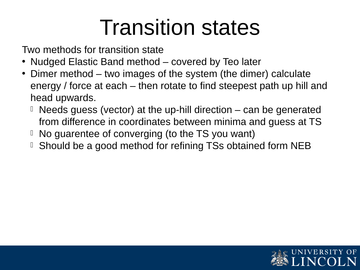#### Transition states

Two methods for transition state

- Nudged Elastic Band method covered by Teo later
- Dimer method two images of the system (the dimer) calculate energy / force at each – then rotate to find steepest path up hill and head upwards.
	- $\Box$  Needs guess (vector) at the up-hill direction  $-$  can be generated from difference in coordinates between minima and guess at TS
	- $\Box$  No guarentee of converging (to the TS you want)
	- Should be a good method for refining TSs obtained form NEB